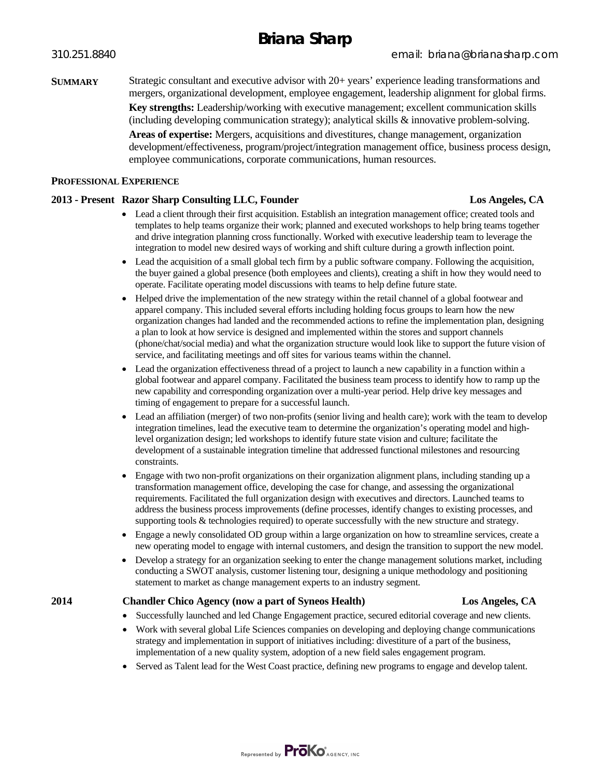## **Briana Sharp**

**SUMMARY** Strategic consultant and executive advisor with 20+ years' experience leading transformations and mergers, organizational development, employee engagement, leadership alignment for global firms. **Key strengths:** Leadership/working with executive management; excellent communication skills (including developing communication strategy); analytical skills & innovative problem-solving. **Areas of expertise:** Mergers, acquisitions and divestitures, change management, organization development/effectiveness, program/project/integration management office, business process design, employee communications, corporate communications, human resources.

#### **PROFESSIONAL EXPERIENCE**

### **2013 - Present Razor Sharp Consulting LLC, Founder Los Angeles, CA**

- Lead a client through their first acquisition. Establish an integration management office; created tools and templates to help teams organize their work; planned and executed workshops to help bring teams together and drive integration planning cross functionally. Worked with executive leadership team to leverage the integration to model new desired ways of working and shift culture during a growth inflection point.
- Lead the acquisition of a small global tech firm by a public software company. Following the acquisition, the buyer gained a global presence (both employees and clients), creating a shift in how they would need to operate. Facilitate operating model discussions with teams to help define future state.
- Helped drive the implementation of the new strategy within the retail channel of a global footwear and apparel company. This included several efforts including holding focus groups to learn how the new organization changes had landed and the recommended actions to refine the implementation plan, designing a plan to look at how service is designed and implemented within the stores and support channels (phone/chat/social media) and what the organization structure would look like to support the future vision of service, and facilitating meetings and off sites for various teams within the channel.
- Lead the organization effectiveness thread of a project to launch a new capability in a function within a global footwear and apparel company. Facilitated the business team process to identify how to ramp up the new capability and corresponding organization over a multi-year period. Help drive key messages and timing of engagement to prepare for a successful launch.
- Lead an affiliation (merger) of two non-profits (senior living and health care); work with the team to develop integration timelines, lead the executive team to determine the organization's operating model and highlevel organization design; led workshops to identify future state vision and culture; facilitate the development of a sustainable integration timeline that addressed functional milestones and resourcing constraints.
- Engage with two non-profit organizations on their organization alignment plans, including standing up a transformation management office, developing the case for change, and assessing the organizational requirements. Facilitated the full organization design with executives and directors. Launched teams to address the business process improvements (define processes, identify changes to existing processes, and supporting tools & technologies required) to operate successfully with the new structure and strategy.
- Engage a newly consolidated OD group within a large organization on how to streamline services, create a new operating model to engage with internal customers, and design the transition to support the new model.
- Develop a strategy for an organization seeking to enter the change management solutions market, including conducting a SWOT analysis, customer listening tour, designing a unique methodology and positioning statement to market as change management experts to an industry segment.

#### **2014 Chandler Chico Agency (now a part of Syneos Health) Los Angeles, CA**

- Successfully launched and led Change Engagement practice, secured editorial coverage and new clients.
- Work with several global Life Sciences companies on developing and deploying change communications strategy and implementation in support of initiatives including: divestiture of a part of the business, implementation of a new quality system, adoption of a new field sales engagement program.
- Served as Talent lead for the West Coast practice, defining new programs to engage and develop talent.